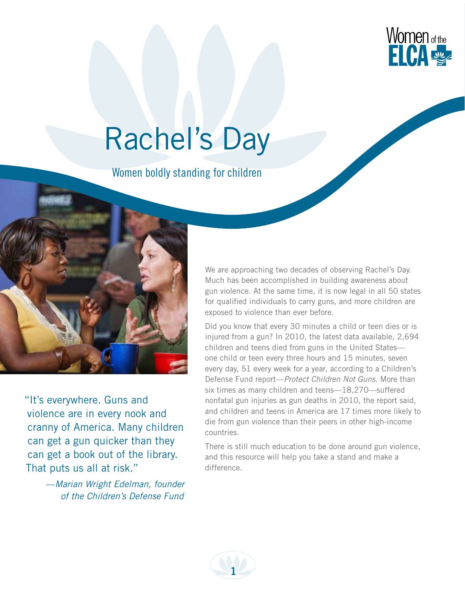

# Rachel's Day

Women boldly standing for children



"It's everywhere. Guns and violence are in every nook and cranny of America. Many children can get a gun quicker than they can get a book out of the library. That puts us all at risk."

> —*Marian Wright Edelman, founder of the Children's Defense Fund*

We are approaching two decades of observing Rachel's Day. Much has been accomplished in building awareness about gun violence. At the same time, it is now legal in all 50 states for qualified individuals to carry guns, and more children are exposed to violence than ever before.

Did you know that every 30 minutes a child or teen dies or is injured from a gun? In 2010, the latest data available, 2,694 children and teens died from guns in the United States one child or teen every three hours and 15 minutes, seven every day, 51 every week for a year, according to a Children's Defense Fund report—*Protect Children Not Guns*. More than six times as many children and teens—18,270—suffered nonfatal gun injuries as gun deaths in 2010, the report said, and children and teens in America are 17 times more likely to die from gun violence than their peers in other high-income countries.

There is still much education to be done around gun violence, and this resource will help you take a stand and make a difference.

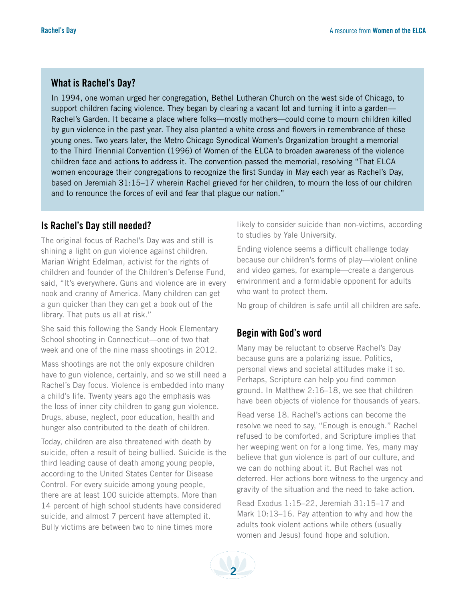## **What is Rachel's Day?**

In 1994, one woman urged her congregation, Bethel Lutheran Church on the west side of Chicago, to support children facing violence. They began by clearing a vacant lot and turning it into a garden— Rachel's Garden. It became a place where folks—mostly mothers—could come to mourn children killed by gun violence in the past year. They also planted a white cross and flowers in remembrance of these young ones. Two years later, the Metro Chicago Synodical Women's Organization brought a memorial to the Third Triennial Convention (1996) of Women of the ELCA to broaden awareness of the violence children face and actions to address it. The convention passed the memorial, resolving "That ELCA women encourage their congregations to recognize the first Sunday in May each year as Rachel's Day, based on Jeremiah 31:15–17 wherein Rachel grieved for her children, to mourn the loss of our children and to renounce the forces of evil and fear that plague our nation."

## **Is Rachel's Day still needed?**

The original focus of Rachel's Day was and still is shining a light on gun violence against children. Marian Wright Edelman, activist for the rights of children and founder of the Children's Defense Fund, said, "It's everywhere. Guns and violence are in every nook and cranny of America. Many children can get a gun quicker than they can get a book out of the library. That puts us all at risk."

She said this following the Sandy Hook Elementary School shooting in Connecticut—one of two that week and one of the nine mass shootings in 2012.

Mass shootings are not the only exposure children have to gun violence, certainly, and so we still need a Rachel's Day focus. Violence is embedded into many a child's life. Twenty years ago the emphasis was the loss of inner city children to gang gun violence. Drugs, abuse, neglect, poor education, health and hunger also contributed to the death of children.

Today, children are also threatened with death by suicide, often a result of being bullied. Suicide is the third leading cause of death among young people, according to the United States Center for Disease Control. For every suicide among young people, there are at least 100 suicide attempts. More than 14 percent of high school students have considered suicide, and almost 7 percent have attempted it. Bully victims are between two to nine times more

likely to consider suicide than non-victims, according to studies by Yale University.

Ending violence seems a difficult challenge today because our children's forms of play—violent online and video games, for example—create a dangerous environment and a formidable opponent for adults who want to protect them.

No group of children is safe until all children are safe.

# **Begin with God's word**

Many may be reluctant to observe Rachel's Day because guns are a polarizing issue. Politics, personal views and societal attitudes make it so. Perhaps, Scripture can help you find common ground. In Matthew 2:16–18, we see that children have been objects of violence for thousands of years.

Read verse 18. Rachel's actions can become the resolve we need to say, "Enough is enough." Rachel refused to be comforted, and Scripture implies that her weeping went on for a long time. Yes, many may believe that gun violence is part of our culture, and we can do nothing about it. But Rachel was not deterred. Her actions bore witness to the urgency and gravity of the situation and the need to take action.

Read Exodus 1:15–22, Jeremiah 31:15–17 and Mark 10:13–16. Pay attention to why and how the adults took violent actions while others (usually women and Jesus) found hope and solution.

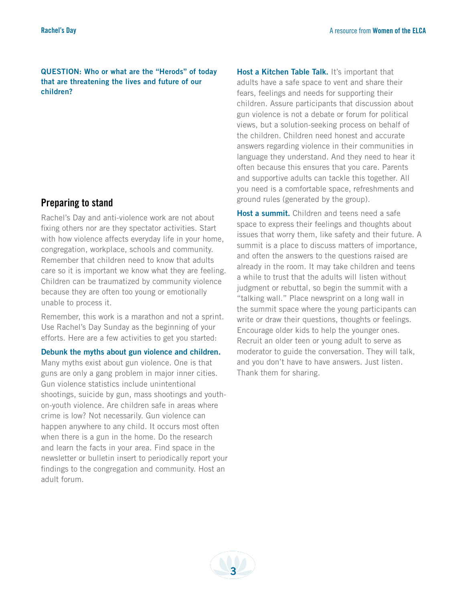**Question: Who or what are the "Herods" of today that are threatening the lives and future of our children?**

## **Preparing to stand**

Rachel's Day and anti-violence work are not about fixing others nor are they spectator activities. Start with how violence affects everyday life in your home, congregation, workplace, schools and community. Remember that children need to know that adults care so it is important we know what they are feeling. Children can be traumatized by community violence because they are often too young or emotionally unable to process it.

Remember, this work is a marathon and not a sprint. Use Rachel's Day Sunday as the beginning of your efforts. Here are a few activities to get you started:

**Debunk the myths about gun violence and children.**

Many myths exist about gun violence. One is that guns are only a gang problem in major inner cities. Gun violence statistics include unintentional shootings, suicide by gun, mass shootings and youthon-youth violence. Are children safe in areas where crime is low? Not necessarily. Gun violence can happen anywhere to any child. It occurs most often when there is a gun in the home. Do the research and learn the facts in your area. Find space in the newsletter or bulletin insert to periodically report your findings to the congregation and community. Host an adult forum.

**Host a Kitchen Table Talk.** It's important that adults have a safe space to vent and share their fears, feelings and needs for supporting their children. Assure participants that discussion about gun violence is not a debate or forum for political views, but a solution-seeking process on behalf of the children. Children need honest and accurate answers regarding violence in their communities in language they understand. And they need to hear it often because this ensures that you care. Parents and supportive adults can tackle this together. All you need is a comfortable space, refreshments and ground rules (generated by the group).

**Host a summit.** Children and teens need a safe space to express their feelings and thoughts about issues that worry them, like safety and their future. A summit is a place to discuss matters of importance, and often the answers to the questions raised are already in the room. It may take children and teens a while to trust that the adults will listen without judgment or rebuttal, so begin the summit with a "talking wall." Place newsprint on a long wall in the summit space where the young participants can write or draw their questions, thoughts or feelings. Encourage older kids to help the younger ones. Recruit an older teen or young adult to serve as moderator to guide the conversation. They will talk, and you don't have to have answers. Just listen. Thank them for sharing.

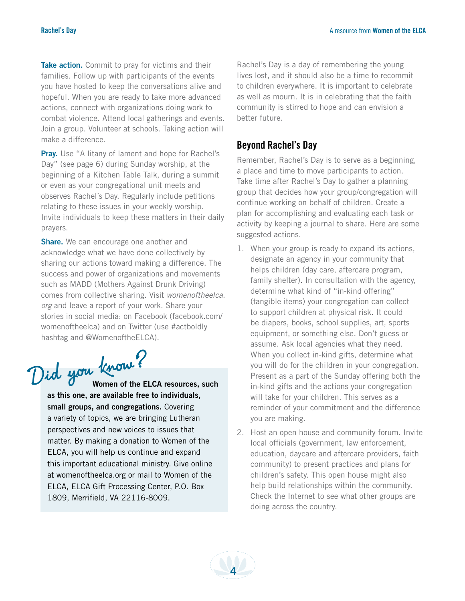**Take action.** Commit to pray for victims and their families. Follow up with participants of the events you have hosted to keep the conversations alive and hopeful. When you are ready to take more advanced actions, connect with organizations doing work to combat violence. Attend local gatherings and events. Join a group. Volunteer at schools. Taking action will make a difference.

**Pray.** Use "A litany of lament and hope for Rachel's Day" (see page 6) during Sunday worship, at the beginning of a Kitchen Table Talk, during a summit or even as your congregational unit meets and observes Rachel's Day. Regularly include petitions relating to these issues in your weekly worship. Invite individuals to keep these matters in their daily prayers.

**Share.** We can encourage one another and acknowledge what we have done collectively by sharing our actions toward making a difference. The success and power of organizations and movements such as MADD (Mothers Against Drunk Driving) comes from collective sharing. Visit *womenoftheelca. org* and leave a report of your work. Share your stories in social media: on Facebook (facebook.com/ womenoftheelca) and on Twitter (use #actboldly hashtag and @WomenoftheELCA).

Did you know?<br>Women of the ELCA resources, such

**as this one, are available free to individuals, small groups, and congregations.** Covering a variety of topics, we are bringing Lutheran perspectives and new voices to issues that matter. By making a donation to Women of the ELCA, you will help us continue and expand this important educational ministry. Give online at womenoftheelca.org or mail to Women of the ELCA, ELCA Gift Processing Center, P.O. Box 1809, Merrifield, VA 22116-8009.

Rachel's Day is a day of remembering the young lives lost, and it should also be a time to recommit to children everywhere. It is important to celebrate as well as mourn. It is in celebrating that the faith community is stirred to hope and can envision a better future.

## **Beyond Rachel's Day**

Remember, Rachel's Day is to serve as a beginning, a place and time to move participants to action. Take time after Rachel's Day to gather a planning group that decides how your group/congregation will continue working on behalf of children. Create a plan for accomplishing and evaluating each task or activity by keeping a journal to share. Here are some suggested actions.

- 1. When your group is ready to expand its actions, designate an agency in your community that helps children (day care, aftercare program, family shelter). In consultation with the agency, determine what kind of "in-kind offering" (tangible items) your congregation can collect to support children at physical risk. It could be diapers, books, school supplies, art, sports equipment, or something else. Don't guess or assume. Ask local agencies what they need. When you collect in-kind gifts, determine what you will do for the children in your congregation. Present as a part of the Sunday offering both the in-kind gifts and the actions your congregation will take for your children. This serves as a reminder of your commitment and the difference you are making.
- 2. Host an open house and community forum. Invite local officials (government, law enforcement, education, daycare and aftercare providers, faith community) to present practices and plans for children's safety. This open house might also help build relationships within the community. Check the Internet to see what other groups are doing across the country.

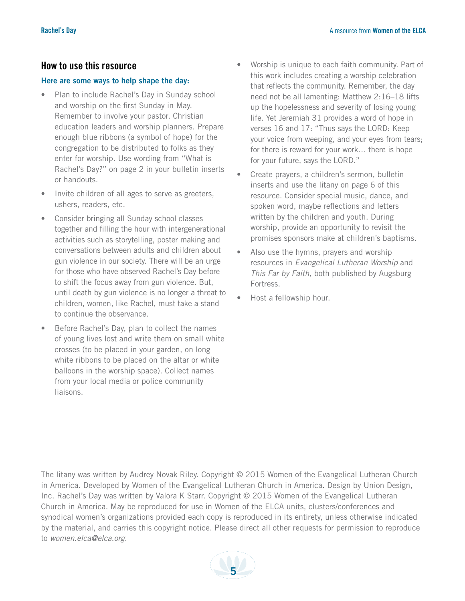### **How to use this resource**

#### **Here are some ways to help shape the day:**

- Plan to include Rachel's Day in Sunday school and worship on the first Sunday in May. Remember to involve your pastor, Christian education leaders and worship planners. Prepare enough blue ribbons (a symbol of hope) for the congregation to be distributed to folks as they enter for worship. Use wording from "What is Rachel's Day?" on page 2 in your bulletin inserts or handouts.
- Invite children of all ages to serve as greeters, ushers, readers, etc.
- Consider bringing all Sunday school classes together and filling the hour with intergenerational activities such as storytelling, poster making and conversations between adults and children about gun violence in our society. There will be an urge for those who have observed Rachel's Day before to shift the focus away from gun violence. But, until death by gun violence is no longer a threat to children, women, like Rachel, must take a stand to continue the observance.
- Before Rachel's Day, plan to collect the names of young lives lost and write them on small white crosses (to be placed in your garden, on long white ribbons to be placed on the altar or white balloons in the worship space). Collect names from your local media or police community liaisons.
- Worship is unique to each faith community. Part of this work includes creating a worship celebration that reflects the community. Remember, the day need not be all lamenting: Matthew 2:16–18 lifts up the hopelessness and severity of losing young life. Yet Jeremiah 31 provides a word of hope in verses 16 and 17: "Thus says the LORD: Keep your voice from weeping, and your eyes from tears; for there is reward for your work… there is hope for your future, says the LORD."
- Create prayers, a children's sermon, bulletin inserts and use the litany on page 6 of this resource. Consider special music, dance, and spoken word, maybe reflections and letters written by the children and youth. During worship, provide an opportunity to revisit the promises sponsors make at children's baptisms.
- Also use the hymns, prayers and worship resources in *Evangelical Lutheran Worship* and *This Far by Faith,* both published by Augsburg Fortress.
- Host a fellowship hour.

The litany was written by Audrey Novak Riley. Copyright © 2015 Women of the Evangelical Lutheran Church in America. Developed by Women of the Evangelical Lutheran Church in America. Design by Union Design, Inc. Rachel's Day was written by Valora K Starr. Copyright © 2015 Women of the Evangelical Lutheran Church in America. May be reproduced for use in Women of the ELCA units, clusters/conferences and synodical women's organizations provided each copy is reproduced in its entirety, unless otherwise indicated by the material, and carries this copyright notice. Please direct all other requests for permission to reproduce to *women.elca@elca.org.*